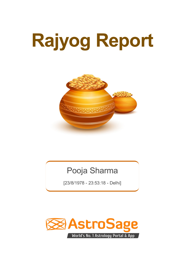# **Rajyog Report**



# Pooja Sharma

[23/8/1978 - 23:53:18 - Delhi]

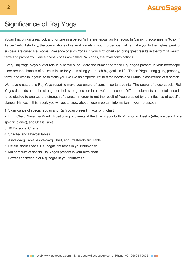### Significance of Raj Yoga

Yogas that brings great luck and fortune in a person''s life are known as Raj Yoga. In Sanskrit, Yoga means "to join". As per Vedic Astrology, the combinations of several planets in your horoscope that can take you to the highest peak of success are called Raj Yogas. Presence of such Yogas in your birth-chart can bring great results in the form of wealth, fame and prosperity. Hence, these Yogas are called Raj Yogas, the royal combinations.

Every Raj Yoga plays a vital role in a native''s life. More the number of these Raj Yogas present in your horoscope, more are the chances of success in life for you, making you reach big goals in life. These Yogas bring glory, property, fame, and wealth in your life to make you live like an emperor. It fulfills the needs and luxurious aspirations of a person.

We have created this Raj Yoga report to make you aware of some important points. The power of these special Raj Yogas depends upon the strength or their strong position in native''s horoscope. Different elements and details needs to be studied to analyze the strength of planets, in order to get the result of Yoga created by the influence of specific planets. Hence, In this report, you will get to know about these important information in your horoscope:

1. Significance of special Yogas and Raj Yogas present in your birth chart

2. Birth Chart, Navamsa Kundli, Positioning of planets at the time of your birth, Vimshottari Dasha (effective period of a specific planet), and Chalit Table.

- 3. 16 Divisional Charts
- 4. Shadbal and Bhavbal tables
- 5. Ashtakvarg Table, Ashtakvarg Chart, and Prastarakvarg Table
- 6. Details about special Raj Yogas presence in your birth-chart
- 7. Major results of special Raj Yogas present in your birth-chart
- 8. Power and strength of Raj Yogas in your birth-chart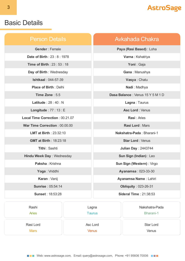### Basic Details

| <b>Person Details</b>           | <b>Avkahada Chakra</b>           |
|---------------------------------|----------------------------------|
| Gender: Female                  | Paya (Rasi Based) : Loha         |
| <b>Date of Birth: 23:8:1978</b> | Varna: Kshatriya                 |
| <b>Time of Birth: 23:53:18</b>  | Yoni: Gaja                       |
| Day of Birth: Wednesday         | Gana: Manushya                   |
| <b>Ishtkaal: 044-57-39</b>      | Vasya: Chatu                     |
| <b>Place of Birth: Delhi</b>    | Nadi: Madhya                     |
| Time Zone: 5.5                  | Dasa Balance: Venus 15 Y 5 M 1 D |
| Latitude: $28:40:N$             | Lagna: Taurus                    |
| Longitude: $77:13: E$           | <b>Asc Lord: Venus</b>           |
| Local Time Correction: 00.21.07 | Rasi: Aries                      |
| War Time Correction: 00.00.00   | <b>Rasi Lord: Mars</b>           |
| <b>LMT at Birth: 23:32:10</b>   | Nakshatra-Pada: Bharani-1        |
| <b>GMT at Birth: 18:23:18</b>   | <b>Star Lord: Venus</b>          |
| <b>Tithi: Sashti</b>            | <b>Julian Day: 2443744</b>       |
| Hindu Week Day: Wednesday       | Sun Sign (Indian) : Leo          |
| Paksha: Krishna                 | Sun Sign (Western) : Virgo       |
| Yoga: Vriddhi                   | <b>Ayanamsa: 023-33-30</b>       |
| Karan: Vanij                    | Ayanamsa Name : Lahiri           |
| <b>Sunrise: 05:54:14</b>        | <b>Obliquity</b> : 023-26-31     |
| <b>Sunset: 18:53:28</b>         | <b>Sideral Time: 21:38:53</b>    |
|                                 |                                  |

| Rashi        | Lagna    | Nakshatra-Pada   |
|--------------|----------|------------------|
| <b>Aries</b> | Taurus   | <b>Bharani-1</b> |
| Rasi Lord    | Asc Lord | Star Lord        |
| <b>Mars</b>  | Venus    | <b>Venus</b>     |

**NEX** Web: www.astrosage.com, Email: query@astrosage.com, Phone: +91 95606 70006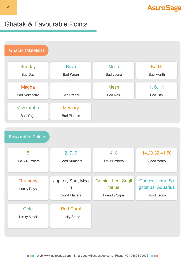### Ghatak & Favourable Points

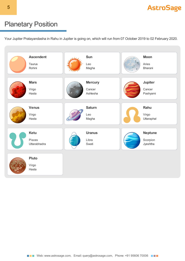

### Planetary Position

Your Jupiter Pratayandasha in Rahu in Jupiter is going on, which will run from 07 October 2019 to 02 February 2020.

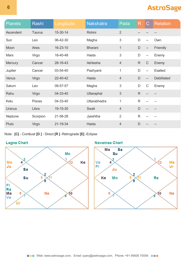| <b>Planets</b> | Rashi         | Longitude | <b>Nakshatra</b> | Pada           | R             | $\bullet$                | <b>Relation</b>    |
|----------------|---------------|-----------|------------------|----------------|---------------|--------------------------|--------------------|
| Ascendent      | <b>Taurus</b> | 15-30-14  | Rohini           | $\overline{2}$ |               |                          |                    |
| Sun            | Leo           | 06-42-30  | Magha            | 3              | $\mathsf{D}$  | $\overline{a}$           | Own                |
| Moon           | <b>Aries</b>  | 16-23-10  | <b>Bharani</b>   | $\mathbf 1$    | $\mathsf D$   | $\qquad \qquad -$        | Friendly           |
| <b>Mars</b>    | Virgo         | 18-40-48  | Hasta            | 3              | $\mathsf{D}%$ | $\overline{\phantom{a}}$ | Enemy              |
| <b>Mercury</b> | Cancer        | 28-16-43  | Ashlesha         | $\overline{4}$ | R             | $\mathsf{C}$             | Enemy              |
| Jupiter        | Cancer        | 03-54-40  | Pashyami         | 1              | D             | $\overline{a}$           | <b>Exalted</b>     |
| <b>Venus</b>   | Virgo         | 22-40-42  | Hasta            | $\overline{4}$ | $\mathsf{D}$  | $\overline{\phantom{0}}$ | <b>Debilitated</b> |
| Saturn         | Leo           | 09-57-57  | Magha            | 3              | D             | $\mathsf C$              | Enemy              |
| Rahu           | Virgo         | 04-33-40  | Uttaraphal       | $\mathfrak{S}$ | R             | $\overline{\phantom{a}}$ | $-\!$ $\!-$        |
| Ketu           | <b>Pisces</b> | 04-33-40  | Uttarabhadra     | 1              | $\mathsf{R}$  |                          |                    |
| <b>Uranus</b>  | Libra         | 19-15-30  | Swati            | $\overline{4}$ | $\mathsf{D}$  |                          |                    |
| Neptune        | Scorpion      | 21-58-28  | Jyeshtha         | $\overline{2}$ | $\mathsf{R}$  |                          |                    |
| Pluto          | Virgo         | 21-19-34  | Hasta            | $\overline{4}$ | D             |                          |                    |

Note : **[C]** - Combust **[D ]** - Direct **[R ]** -Retrograde **[E]** -Eclipse

### **Lagna Chart**



### **Navamsa Chart**

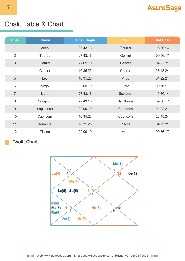# Chalit Table & Chart

| <b>Bhav</b>     | <b>Rashi</b>  | <b>Bhav Begin</b> | <b>Rashi</b>  | <b>Mid Bhav</b> |
|-----------------|---------------|-------------------|---------------|-----------------|
| 1               | <b>Aries</b>  | 27.43.16          | <b>Taurus</b> | 15.30.14        |
| $\overline{2}$  | Taurus        | 27.43.16          | Gemini        | 09.56.17        |
| 3               | Gemini        | 22.09.19          | Cancer        | 04.22.21        |
| $\overline{4}$  | Cancer        | 16.35.23          | Cancer        | 28.48.24        |
| 5               | Leo           | 16.35.23          | Virgo         | 04.22.21        |
| $6\phantom{1}6$ | Virgo         | 22.09.19          | Libra         | 09.56.17        |
| $\overline{7}$  | Libra         | 27.43.16          | Scorpion      | 15.30.14        |
| 8               | Scorpion      | 27.43.16          | Sagittarius   | 09.56.17        |
| 9               | Sagittarius   | 22.09.19          | Capricorn     | 04.22.21        |
| 10              | Capricorn     | 16.35.23          | Capricorn     | 28.48.24        |
| 11              | Aquarius      | 16.35.23          | <b>Pisces</b> | 04.22.21        |
| 12              | <b>Pisces</b> | 22.09.19          | Aries         | 09.56.17        |

### **Chalit Chart**

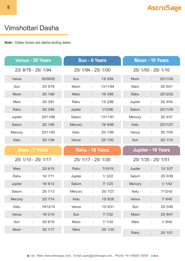# Vimshottari Dasha

**Note**:- Dates shown are dasha ending dates.

|                       |    | <b>Venus - 20 Years</b> |             | <b>Sun - 6 Years</b> |                     | <b>Moon - 10 Years</b> |    |                           |  |
|-----------------------|----|-------------------------|-------------|----------------------|---------------------|------------------------|----|---------------------------|--|
| 23/8/78 - 25/1/94     |    |                         |             |                      | 25/ 1/94 - 25/ 1/00 |                        |    | 25/ 1/00 - 25/ 1/10       |  |
| Venus                 | ÷  | 00/00/00                | Sun         | ÷.                   | 13/5/94             | Moon                   | ÷  | 25/11/00                  |  |
| Sun                   | ÷  | 25/5/78                 | Moon        | ÷                    | 13/11/94            | <b>Mars</b>            | ÷  | 25/6/01                   |  |
| Moon                  | ÷  | 25/1/80                 | <b>Mars</b> | t,                   | 19/3/95             | Rahu                   |    | 25/12/02                  |  |
| <b>Mars</b>           | ÷  | 25/3/81                 | Rahu        | ÷                    | 13/2/96             | Jupiter                | ÷  | 25/4/04                   |  |
| Rahu                  | ÷  | 25/3/84                 | Jupiter     | ÷.                   | 1/12/96             | Saturn                 | ÷  | 25/11/05                  |  |
| Jupiter               | t  | 25/11/86                | Saturn      | ÷,                   | 13/11/97            | Mercury                | ÷. | 25/4/07                   |  |
| Saturn                | ÷  | 25/1/90                 | Mercury     | t,                   | 19/9/98             | Ketu                   | ÷  | 25/11/07                  |  |
| <b>Mercury</b>        | t  | 25/11/92                | Ketu        | ÷                    | 25/1/99             | Venus                  | t  | 25/7/09                   |  |
| Ketu                  | t, | 25/1/94                 | Venus       | t,                   | 25/1/00             | Sun                    | ÷. | 25/1/10                   |  |
|                       |    |                         |             |                      |                     |                        |    |                           |  |
| <b>Mars - 7 Years</b> |    |                         |             |                      | Rahu - 18 Years     |                        |    | <b>Jupiter - 16 Years</b> |  |
| 25/ 1/10 - 25/ 1/17   |    |                         |             |                      | 25/ 1/17 - 25/ 1/35 |                        |    | 25/ 1/35 - 25/ 1/51       |  |
| <b>Mars</b>           | ÷  | 22/6/10                 | Rahu        | t.                   | 7/10/19             | Jupiter                | t, | 13/3/37                   |  |
| Rahu                  | ÷  | 10/7/11                 | Jupiter     | ÷                    | 1/3/22              | Saturn                 | t, | 25/9/39                   |  |
| Jupiter               | ÷  | 16/6/12                 | Saturn      | ÷                    | 7/1/25              | Mercury                | t, | 1/1/42                    |  |
| Saturn                | f  | 25/7/13                 | Mercury     | t                    | 25/7/27             | Ketu                   | ۰  | 7/12/42                   |  |
| Mercury               |    | 22/7/14                 | Ketu        |                      | 13/8/28             | Venus                  |    | 7/8/45                    |  |
| Ketu                  | t, | 19/12/14                | Venus       | ÷.                   | 13/8/31             | Sun                    | t  | 25/5/46                   |  |
| Venus                 | ÷  | 19/2/16                 | Sun         | t,                   | 7/7/32              | Moon                   |    | 25/9/47                   |  |
| Sun                   | t. | 25/6/16                 | Moon        | ÷                    | 7/1/34              | Mars                   | t  | 1/9/48                    |  |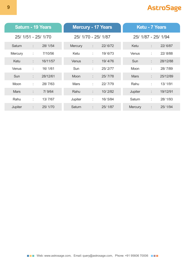|             |    | <b>Saturn - 19 Years</b> |                     |    | <b>Mercury - 17 Years</b> | <b>Ketu - 7 Years</b> |    |          |  |  |
|-------------|----|--------------------------|---------------------|----|---------------------------|-----------------------|----|----------|--|--|
|             |    | 25/ 1/51 - 25/ 1/70      | 25/ 1/70 - 25/ 1/87 |    |                           | 25/ 1/87 - 25/ 1/94   |    |          |  |  |
| Saturn      | ÷  | 28/1/54                  | Mercury             | ÷. | 22/6/72                   | Ketu                  | ÷  | 22/6/87  |  |  |
| Mercury     | ÷  | 7/10/56                  | Ketu                | ÷  | 19/6/73                   | Venus                 | t  | 22/8/88  |  |  |
| Ketu        | ÷  | 16/11/57                 | Venus               | ÷  | 19/4/76                   | Sun                   | t. | 28/12/88 |  |  |
| Venus       | ÷  | 16/1/61                  | Sun                 | ÷  | 25/2/77                   | Moon                  | ÷  | 28/7/89  |  |  |
| <b>Sun</b>  | ÷  | 28/12/61                 | Moon                | ÷  | 25/7/78                   | <b>Mars</b>           | t. | 25/12/89 |  |  |
| <b>Moon</b> | ÷. | 28/7/63                  | <b>Mars</b>         | ÷  | 22/7/79                   | Rahu                  | ÷  | 13/1/91  |  |  |
| <b>Mars</b> | ÷  | 7/9/64                   | Rahu                | ÷  | 10/2/82                   | Jupiter               | ÷  | 19/12/91 |  |  |
| Rahu        | ÷  | 13/7/67                  | Jupiter             | ÷  | 16/5/84                   | Saturn                | ÷  | 28/1/93  |  |  |
| Jupiter     | ÷  | 25/1/70                  | Saturn              | ÷  | 25/1/87                   | <b>Mercury</b>        | ÷  | 25/1/94  |  |  |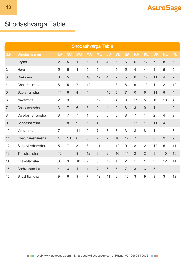# Shodashvarga Table

|                | Shodashvarga Table |                |                |                 |                |                |                |                |                |                |                |                |                |                  |
|----------------|--------------------|----------------|----------------|-----------------|----------------|----------------|----------------|----------------|----------------|----------------|----------------|----------------|----------------|------------------|
| <b>S.N.</b>    | Shodashvarga       | LA             | <b>SU</b>      | <b>MO</b>       | <b>MA</b>      | <b>ME</b>      | <b>JU</b>      | <b>VE</b>      | <b>SA</b>      | <b>RA</b>      | <b>KE</b>      | <b>UR</b>      | <b>NE</b>      | <b>PL</b>        |
| $\mathbf 1$    | Lagna              | $\overline{2}$ | 5              | 1               | 6              | $\overline{4}$ | $\overline{4}$ | $6\,$          | 5              | 6              | 12             | $\overline{7}$ | $\delta$       | 6                |
| $\overline{2}$ | Hora               | 5              | 5              | $\overline{4}$  | 5              | 5              | $\overline{4}$ | 5              | 5              | 4              | 4              | $\overline{4}$ | 5              | 5                |
| 3              | <b>Drekkana</b>    | 6              | 5              | 5               | 10             | 12             | $\overline{4}$ | $\overline{2}$ | 5              | 6              | 12             | 11             | $\overline{4}$ | $\overline{2}$   |
| 4              | Chaturthamsha      | 8              | 5              | $\overline{7}$  | 12             | $\mathbf{1}$   | $\overline{4}$ | 3              | 8              | 6              | 12             | 1              | $\overline{2}$ | 12               |
| 5              | Saptamamsha        | 11             | $6\phantom{1}$ | $\overline{4}$  | $\overline{4}$ | $\overline{4}$ | 10             | 5              | $\overline{7}$ | $\overline{0}$ | 6              | 11             | $6\phantom{1}$ | $\overline{4}$   |
| 6              | Navamsha           | $\overline{2}$ | 3              | 5               | 3              | 12             | 5              | $\overline{4}$ | 3              | 11             | 5              | 12             | 10             | $\overline{4}$   |
| $\overline{7}$ | Dashamamsha        | 3              | $\overline{7}$ | $6\phantom{1}6$ | 8              | 9              | $\overline{1}$ | 9              | 8              | 3              | 9              | $\overline{1}$ | 11             | 9                |
| 8              | Dwadashamamsha     | 8              | $\overline{7}$ | $\overline{7}$  | 1              | 3              | 5              | 3              | 8              | $\overline{7}$ | $\mathbf{1}$   | $\overline{2}$ | $\overline{4}$ | $\overline{2}$   |
| 9              | Shodashamsha       | $\mathbf{1}$   | 8              | 9               | $6\phantom{1}$ | $\overline{4}$ | 3              | 9              | 10             | 11             | 11             | 11             | $\overline{4}$ | 8                |
| 10             | Vimshamsha         | $\overline{7}$ | $\mathbf{1}$   | 11              | 5              | $\overline{7}$ | 3              | 8              | 3              | 8              | 8              | $\mathbf{1}$   | 11             | $\overline{7}$   |
| 11             | Chaturvimshamsha   | $\overline{4}$ | 10             | 6               | 6              | $\overline{2}$ | $\overline{7}$ | 10             | 12             | $\overline{7}$ | $\overline{7}$ | 8              | $\overline{9}$ | $\boldsymbol{9}$ |
| 12             | Saptavimshamsha    | 5              | $\overline{7}$ | 3               | 8              | 11             | 1              | 12             | $\overline{9}$ | 8              | $\overline{2}$ | 12             | 5              | 11               |
| 13             | Trimshamsha        | 12             | 11             | 9               | 12             | 8              | $\overline{2}$ | 10             | 11             | $\overline{2}$ | $\overline{2}$ | 3              | 10             | 10               |
| 14             | Khavedamsha        | 3              | $9$            | 10              | $\overline{7}$ | 8              | 12             | 1              | $\overline{2}$ | $\mathbf 1$    | 1              | $\overline{2}$ | 12             | 11               |
| 15             | Akshvedamsha       | 4              | 3              | $\mathbf{1}$    | $\mathbf{1}$   | $\overline{7}$ | 6              | $\overline{7}$ | $\overline{7}$ | 3              | 3              | 5              | $\mathbf{1}$   | $\overline{4}$   |
| 16             | Shashtiamsha       | 9              | 6              | 9               | $\overline{7}$ | 12             | 11             | 3              | 12             | 3              | 9              | 9              | 3              | 12               |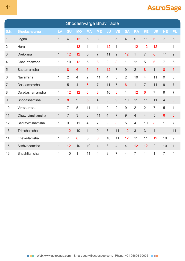|                | Shodashvarga Bhav Table |              |                |                |                 |                 |                |                |                 |                |                |                |                  |                  |
|----------------|-------------------------|--------------|----------------|----------------|-----------------|-----------------|----------------|----------------|-----------------|----------------|----------------|----------------|------------------|------------------|
| S.N.           | <b>Shodashvarga</b>     | LA           | <b>SU</b>      | <b>MO</b>      | <b>MA</b>       | <b>ME</b>       | JU             | <b>VF</b>      | <b>SA</b>       | <b>RA</b>      | <b>KE</b>      | <b>UR</b>      | <b>NE</b>        | <b>PL</b>        |
| $\mathbf 1$    | Lagna                   | $\mathbf{1}$ | $\overline{4}$ | 12             | 5               | 3               | 3              | 5              | $\overline{4}$  | 5              | 11             | 6              | $\overline{7}$   | 5                |
| $\overline{2}$ | Hora                    | 1            | 1              | 12             | 1               | 1               | 12             | 1              | 1               | 12             | 12             | 12             | 1                | $\mathbf 1$      |
| 3              | <b>Drekkana</b>         | 1            | 12             | 12             | 5               | $\overline{7}$  | 11             | 9              | 12              | $\mathbf{1}$   | $\overline{7}$ | 6              | 11               | $\boldsymbol{9}$ |
| 4              | Chaturthamsha           | 1            | 10             | 12             | 5               | $6\phantom{1}6$ | 9              | 8              | 1               | 11             | 5              | 6              | $\overline{7}$   | 5                |
| 5              | Saptamamsha             | $\mathbf{1}$ | 8              | $6\phantom{1}$ | $6\phantom{1}6$ | $6\phantom{1}6$ | 12             | $\overline{7}$ | 9               | $\overline{2}$ | 8              | $\mathbf{1}$   | 8                | 6                |
| 6              | Navamsha                | $\mathbf{1}$ | $\overline{2}$ | 4              | $\overline{2}$  | 11              | $\overline{4}$ | 3              | $\overline{2}$  | 10             | 4              | 11             | 9                | 3                |
| 7              | Dashamamsha             | $\mathbf{1}$ | 5              | $\overline{4}$ | $6\phantom{1}6$ | $\overline{7}$  | 11             | $\overline{7}$ | $6\phantom{1}6$ | $\mathbf{1}$   | $\overline{7}$ | 11             | $\boldsymbol{9}$ | $\overline{7}$   |
| 8              | Dwadashamamsha          | 1            | 12             | 12             | $6\phantom{1}6$ | 8               | 10             | 8              | 1               | 12             | 6              | $\overline{7}$ | 9                | $\overline{7}$   |
| 9              | Shodashamsha            | $\mathbf{1}$ | 8              | $\overline{9}$ | $6\phantom{1}6$ | $\overline{4}$  | 3              | $\overline{9}$ | 10              | 11             | 11             | 11             | $\overline{4}$   | 8                |
| 10             | Vimshamsha              | $\mathbf{1}$ | 7              | 5              | 11              | 1               | 9              | $\overline{2}$ | 9               | $\overline{2}$ | $\overline{2}$ | 7              | 5                | 1                |
| 11             | Chaturvimshamsha        | 1            | 7              | 3              | 3               | 11              | 4              | $\overline{7}$ | 9               | 4              | 4              | 5              | $6\phantom{1}6$  | $6\phantom{1}6$  |
| 12             | Saptavimshamsha         | 1            | 3              | 11             | $\overline{4}$  | $\overline{7}$  | 9              | 8              | 5               | $\overline{4}$ | 10             | 8              | 1                | $\overline{7}$   |
| 13             | Trimshamsha             | $\mathbf{1}$ | 12             | 10             | $\mathbf{1}$    | 9               | 3              | 11             | 12              | 3              | 3              | $\overline{4}$ | 11               | 11               |
| 14             | Khavedamsha             | 1            | $\overline{7}$ | 8              | 5               | 6               | 10             | 11             | 12              | 11             | 11             | 12             | 10               | $\boldsymbol{9}$ |
| 15             | Akshvedamsha            | 1            | 12             | 10             | 10              | $\overline{4}$  | 3              | $\overline{4}$ | $\overline{4}$  | 12             | 12             | $\overline{2}$ | 10               | $\mathbf 1$      |
| 16             | Shashtiamsha            | 1            | 10             | 1              | 11              | 4               | 3              | 7              | $\overline{4}$  | $\overline{7}$ | 1              | 1              | $\overline{7}$   | $\overline{4}$   |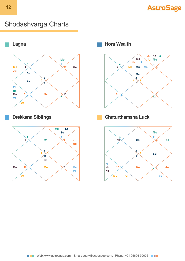### Shodashvarga Charts







**Drekkana Siblings Chaturthamsha Luck**

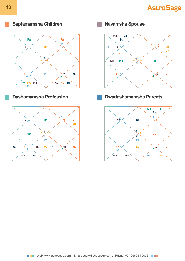

### **Saptamamsha Children Navamsha Spouse**







### **Dashamamsha Profession Dwadashamamsha Parents**

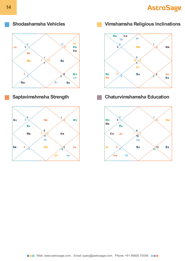**14**





**Shodashamsha Vehicles Vimshamsha Religious Inclinations**



### **Saptavimshmsha Strength Chaturvimshamsha Education**

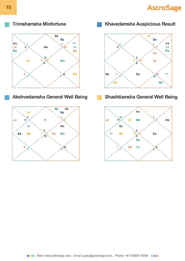



### **Akshvedamsha General Well Being Shashtiamsha General Well Being**



**Trimshamsha Misfortune Khavedamsha Auspicious Result**



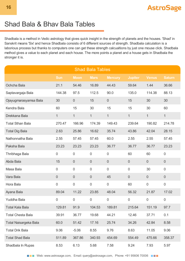### Shad Bala & Bhav Bala Tables

Shadbala is a method in Vedic astrology that gives quick insight in the strength of planets and the houses. 'Shad' in Sanskrit means 'Six' and hence Shadbala consists of 6 different sources of strength. Shadbala calculation is a laborious process but thanks to computers one can get these strength calcualtions by just one mouse click. Shadbala method gives a value to each planet and each house. The more points a planet and a house gets in Shadbala the stronger it is.

| <b>Shad Bala Tables</b>  |                  |                |                |                  |                |                |                  |  |  |  |  |  |
|--------------------------|------------------|----------------|----------------|------------------|----------------|----------------|------------------|--|--|--|--|--|
|                          | <b>Sun</b>       | <b>Moon</b>    | <b>Mars</b>    | <b>Mercury</b>   | <b>Jupiter</b> | <b>Venus</b>   | <b>Saturn</b>    |  |  |  |  |  |
| Ochcha Bala              | 21.1             | 54.46          | 16.89          | 44.43            | 59.64          | 1.44           | 36.66            |  |  |  |  |  |
| Saptavargaja Bala        | 144.38           | 97.5           | 112.5          | 90.0             | 135.0          | 114.38         | 88.13            |  |  |  |  |  |
| Ojayugmarasyamsa Bala    | 30               | $\overline{0}$ | 15             | $\overline{0}$   | 15             | 30             | 30               |  |  |  |  |  |
| Kendra Bala              | 60               | 15             | 30             | 15               | 15             | 30             | 60               |  |  |  |  |  |
| Drekkana Bala            | $\mathbf{1}$     | $\mathbf{1}$   | $\mathbf{1}$   | $\mathbf{1}$     | $\mathbf{1}$   | $\mathbf{1}$   | $\mathbf{1}$     |  |  |  |  |  |
| <b>Total Sthan Bala</b>  | 270.47           | 166.96         | 174.39         | 149.43           | 239.64         | 190.82         | 214.78           |  |  |  |  |  |
| <b>Total Dig Bala</b>    | 2.63             | 25.86          | 16.62          | 35.74            | 43.86          | 42.04          | 28.15            |  |  |  |  |  |
| Nathonnatha Bala         | 2.55             | 57.45          | 57.45          | 60.0             | 2.55           | 2.55           | 57.45            |  |  |  |  |  |
| Paksha Bala              | 23.23            | 23.23          | 23.23          | 36.77            | 36.77          | 36.77          | 23.23            |  |  |  |  |  |
| Thribhaga Bala           | 0                | $\mathbf 0$    | $\mathbf 0$    | $\mathbf 0$      | 60             | 60             | $\boldsymbol{0}$ |  |  |  |  |  |
| Abda Bala                | 15               | $\mathbf 0$    | $\overline{0}$ | $\overline{0}$   | $\overline{0}$ | $\overline{0}$ | $\boldsymbol{0}$ |  |  |  |  |  |
| Masa Bala                | 0                | $\mathbf 0$    | $\overline{0}$ | $\mathbf 0$      | $\mathbf 0$    | 30             | $\mathbf 0$      |  |  |  |  |  |
| Vara Bala                | $\boldsymbol{0}$ | $\mathbf 0$    | $\mathbf 0$    | 45               | $\overline{0}$ | $\overline{0}$ | $\boldsymbol{0}$ |  |  |  |  |  |
| Hora Bala                | $\mathbf 0$      | $\mathbf 0$    | $\mathbf 0$    | $\mathbf 0$      | 60             | $\mathbf 0$    | $\mathbf 0$      |  |  |  |  |  |
| Ayana Bala               | 89.04            | 11.22          | 23.85          | 48.04            | 56.32          | 21.87          | 17.02            |  |  |  |  |  |
| <b>Yuddha Bala</b>       | $\boldsymbol{0}$ | 0              | $\overline{0}$ | $\boldsymbol{0}$ | $\overline{0}$ | 0              | $\boldsymbol{0}$ |  |  |  |  |  |
| <b>Total Kala Bala</b>   | 129.81           | 91.9           | 104.53         | 189.81           | 215.64         | 151.19         | 97.7             |  |  |  |  |  |
| <b>Total Chesta Bala</b> | 39.91            | 36.77          | 19.68          | 44.21            | 12.46          | 37.71          | 0.1              |  |  |  |  |  |
| Total Naisargeka Bala    | 60.0             | 51.42          | 17.16          | 25.74            | 34.26          | 42.84          | 8.58             |  |  |  |  |  |
| <b>Total Drik Bala</b>   | 9.06             | $-5.06$        | 8.55           | 9.76             | 8.63           | 11.05          | 9.06             |  |  |  |  |  |
| <b>Total Shad Bala</b>   | 511.89           | 367.86         | 340.93         | 454.69           | 554.49         | 475.66         | 358.37           |  |  |  |  |  |
| Shadbala In Rupas        | 8.53             | 6.13           | 5.68           | 7.58             | 9.24           | 7.93           | 5.97             |  |  |  |  |  |

**NAME Web: www.astrosage.com, Email: query@astrosage.com, Phone: +91 95606 70006 NAME**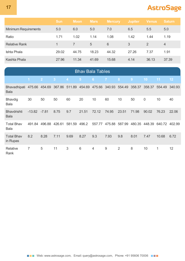|                             | <b>Sun</b> | <b>Moon</b> | <b>Mars</b> | <b>Mercury</b> | <b>Jupiter</b> | <b>Venus</b>  | <b>Saturn</b>  |
|-----------------------------|------------|-------------|-------------|----------------|----------------|---------------|----------------|
| <b>Minimum Requirements</b> | 5.0        | 6.0         | 5.0         | 7.0            | 6.5            | 5.5           | 5.0            |
| Ratio                       | 1.71       | 1.02        | 1.14        | 1.08           | 1.42           | 1.44          | 1.19           |
| <b>Relative Rank</b>        |            |             | 5           | 6              | 3              | $\mathcal{P}$ | $\overline{4}$ |
| Ishta Phala                 | 29.02      | 44.75       | 18.23       | 44.32          | 27.26          | 7.37          | 1.91           |
| Kashta Phala                | 27.96      | 11.34       | 41.69       | 15.68          | 4.14           | 36.13         | 37.39          |

|                                                                | <b>Bhav Bala Tables</b> |                |                |        |                |                |                      |                |        |             |        |        |  |  |
|----------------------------------------------------------------|-------------------------|----------------|----------------|--------|----------------|----------------|----------------------|----------------|--------|-------------|--------|--------|--|--|
|                                                                | $\overline{1}$          | $\overline{2}$ | $\overline{3}$ | A      | 5 <sup>5</sup> | 6              | $\overline{7}$       | 8              | 9      | 10          | 11     | 12     |  |  |
| Bhavadhipati 475.66 454.69 367.86 511.89 454.69<br><b>Bala</b> |                         |                |                |        |                |                | 475.66 340.93 554.49 |                | 358.37 | 358.37      | 554.49 | 340.93 |  |  |
| <b>Bhavdig</b><br><b>Bala</b>                                  | 30                      | 50             | 50             | 60     | 20             | 10             | 60                   | 10             | 50     | $\mathbf 0$ | 10     | 40     |  |  |
| <b>Bhavdrishti</b><br><b>Bala</b>                              | $-13.82$                | $-7.81$        | 8.75           | 9.7    | 21.51          | 72.12          | 74.95                | 23.51          | 71.98  | 90.02       | 76.23  | 22.06  |  |  |
| <b>Total Bhav</b><br><b>Bala</b>                               | 491.84                  | 496.88         | 426.61         | 581.59 | 496.2          | 557.77         | 475.88               | 587.99         | 480.35 | 448.39      | 640.72 | 402.99 |  |  |
| <b>Total Bhav</b><br>in Rupas                                  | 8.2                     | 8.28           | 7.11           | 9.69   | 8.27           | 9.3            | 7.93                 | 9.8            | 8.01   | 7.47        | 10.68  | 6.72   |  |  |
| Relative<br>Rank                                               | 7                       | 5              | 11             | 3      | 6              | $\overline{4}$ | $9\,$                | $\overline{2}$ | 8      | 10          | 1      | 12     |  |  |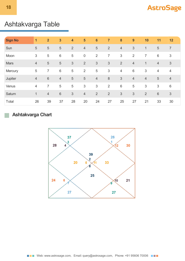

# Ashtakvarga Table

| <b>Sign No</b> | $\blacksquare$ | $\overline{2}$  | 3               | $\overline{\mathbf{4}}$ | $5\phantom{1}$ | $6\phantom{1}6$ | $\overline{7}$ | 8              | 9              | 10             | 11             | 12             |
|----------------|----------------|-----------------|-----------------|-------------------------|----------------|-----------------|----------------|----------------|----------------|----------------|----------------|----------------|
| Sun            | $\overline{5}$ | 5               | 5               | $\overline{2}$          | $\overline{4}$ | $\sqrt{5}$      | $\overline{2}$ | $\overline{4}$ | 3              | 1              | 5              | $\overline{7}$ |
| Moon           | $\mathfrak{S}$ | 5               | $6\phantom{1}6$ | $\sqrt{5}$              | $\overline{0}$ | 2               | 7              | 3              | $\overline{2}$ | 7              | $6\,$          | $\mathfrak{S}$ |
| <b>Mars</b>    | $\overline{4}$ | 5               | 5               | $\mathfrak{S}$          | $\overline{2}$ | 3               | 3              | $\overline{2}$ | $\overline{4}$ | 1              | $\overline{4}$ | $\mathfrak{S}$ |
| Mercury        | 5              | $\overline{7}$  | $6\phantom{1}6$ | $\sqrt{5}$              | 2              | $\sqrt{5}$      | $\sqrt{3}$     | $\overline{4}$ | $6\,$          | $\mathfrak{S}$ | $\overline{4}$ | $\overline{4}$ |
| Jupiter        | $\overline{4}$ | $6\phantom{1}6$ | $\overline{4}$  | $\sqrt{5}$              | $\sqrt{5}$     | $\overline{4}$  | $\,8\,$        | $\mathfrak{S}$ | $\overline{4}$ | $\overline{4}$ | 5              | $\overline{4}$ |
| Venus          | $\overline{4}$ | 7               | $\overline{5}$  | $\sqrt{5}$              | $\mathfrak{S}$ | $\mathfrak{S}$  | $\overline{2}$ | $6\,$          | $\overline{5}$ | 3              | $\mathfrak{S}$ | $6\,$          |
| Saturn         | $\mathbf{1}$   | 4               | $6\phantom{1}$  | $\mathfrak{S}$          | $\overline{4}$ | $\overline{2}$  | $\overline{2}$ | 3              | 3              | $\overline{2}$ | $6\phantom{1}$ | 3              |
| Total          | 26             | 39              | 37              | 28                      | 20             | 24              | 27             | 25             | 27             | 21             | 33             | 30             |

### **Ashtakvarga Chart**

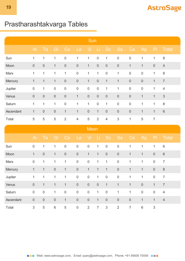# Prastharashtakvarga Tables

|           | Sun              |                  |                  |                |                  |              |                  |                  |                  |                  |                  |                  |                |
|-----------|------------------|------------------|------------------|----------------|------------------|--------------|------------------|------------------|------------------|------------------|------------------|------------------|----------------|
|           | Ar               | Ta               | Gi               | Ca             | Le               | Vi           | Li               | <b>Sc</b>        | Sa               | Ca               | Aq               | Pi               | Total          |
| Sun       | 1                | 1                | $\mathbf{1}$     | $\mathbf 0$    | $\mathbf{1}$     | $\mathbf{1}$ | $\boldsymbol{0}$ | $\mathbf{1}$     | $\boldsymbol{0}$ | $\boldsymbol{0}$ | 1                | 1                | $\,8\,$        |
| Moon      | $\boldsymbol{0}$ | $\boldsymbol{0}$ | $\mathbf{1}$     | $\mathbf 0$    | $\sqrt{0}$       | $\mathbf{1}$ | $\mathbf 0$      | $\mathbf 0$      | $\boldsymbol{0}$ | $\mathbf{1}$     | $\mathbf{1}$     | $\boldsymbol{0}$ | $\overline{4}$ |
| Mars      | $\mathbf{1}$     | $\mathbf{1}$     | $\mathbf{1}$     | $\mathbf{1}$   | $\boldsymbol{0}$ | $\mathbf{1}$ | $\mathbf{1}$     | $\boldsymbol{0}$ | 1                | $\boldsymbol{0}$ | $\boldsymbol{0}$ | $\mathbf 1$      | $\,8\,$        |
| Mercury   | $\mathbf{1}$     | $\mathbf{1}$     | $\mathbf{1}$     | $\mathbf 0$    | $\boldsymbol{0}$ | $\mathbf{1}$ | $\mathbf 0$      | $\mathbf{1}$     | $\mathbf{1}$     | $\mathbf 0$      | $\mathbf 0$      | $\mathbf 1$      | $\overline{7}$ |
| Jupiter   | $\boldsymbol{0}$ | $\mathbf{1}$     | $\boldsymbol{0}$ | $\mathbf 0$    | $\boldsymbol{0}$ | $\mathbf 0$  | $\mathbf 0$      | $\mathbf{1}$     | $\mathbf{1}$     | $\boldsymbol{0}$ | $\boldsymbol{0}$ | $\mathbf 1$      | $\overline{4}$ |
| Venus     | $\boldsymbol{0}$ | $\boldsymbol{0}$ | $\mathbf 0$      | $\mathbf 0$    | $\mathbf{1}$     | $\mathbf 0$  | $\mathbf 0$      | $\mathbf 0$      | $\boldsymbol{0}$ | $\mathbf 0$      | $\mathbf{1}$     | $\mathbf{1}$     | 3              |
| Saturn    | 1                | $\mathbf{1}$     | 1                | $\mathbf 0$    | $\mathbf{1}$     | $\mathbf{1}$ | $\mathbf 0$      | 1                | $\boldsymbol{0}$ | $\mathbf 0$      | $\mathbf 1$      | $\mathbf 1$      | $\,8\,$        |
| Ascendant | $\mathbf{1}$     | $\mathbf 0$      | $\mathbf 0$      | $\mathbf{1}$   | $\mathbf{1}$     | $\mathbf 0$  | $\mathbf{1}$     | $\mathbf 0$      | $\boldsymbol{0}$ | $\mathbf 0$      | $\mathbf{1}$     | $\mathbf 1$      | $\,6\,$        |
| Total     | $\mathbf 5$      | $\sqrt{5}$       | $\mathbf 5$      | $\overline{2}$ | $\overline{4}$   | $\mathbf 5$  | $\overline{2}$   | $\overline{4}$   | 3                | 1                | 5                | $\overline{7}$   |                |

|           |                  |                  |                  |                  |                  | Moon             |                |                  |                  |                |                 |                  |                |
|-----------|------------------|------------------|------------------|------------------|------------------|------------------|----------------|------------------|------------------|----------------|-----------------|------------------|----------------|
|           | Ar               | Ta               | Gi               | Ca               | Le               | Vi               | Li,            | <b>Sc</b>        | Sa               | Ca             | Aq              | Pi               | Total          |
| Sun       | $\boldsymbol{0}$ | $\mathbf 1$      | $\mathbf{1}$     | $\boldsymbol{0}$ | $\boldsymbol{0}$ | $\mathbf 0$      | $\mathbf{1}$   | $\boldsymbol{0}$ | $\boldsymbol{0}$ | $\mathbf{1}$   | 1               | 1                | $6\,$          |
| Moon      | $\mathbf{1}$     | $\mathbf 0$      | $\mathbf{1}$     | $\sqrt{0}$       | $\mathbf 0$      | $\mathbf{1}$     | $\mathbf{1}$   | $\boldsymbol{0}$ | $\mathbf 0$      | $\mathbf{1}$   | $\mathbf 1$     | $\boldsymbol{0}$ | $6\,$          |
| Mars      | $\boldsymbol{0}$ | $\mathbf{1}$     | $\mathbf{1}$     | $\mathbf{1}$     | $\boldsymbol{0}$ | $\boldsymbol{0}$ | $\mathbf{1}$   | $\mathbf{1}$     | $\mathbf 0$      | $\mathbf{1}$   | 1               | $\mathbf 0$      | $\overline{7}$ |
| Mercury   | $\mathbf{1}$     | $\mathbf 1$      | $\boldsymbol{0}$ | $\mathbf{1}$     | $\mathbf 0$      | $\mathbf 1$      | $\mathbf{1}$   | $\mathbf{1}$     | $\mathbf 0$      | $\mathbf{1}$   | $\mathbf 1$     | $\mathbf 0$      | $\,8\,$        |
| Jupiter   | 1                | $\mathbf{1}$     | $\mathbf{1}$     | $\mathbf{1}$     | $\mathbf 0$      | $\mathbf 0$      | $\mathbf{1}$   | $\boldsymbol{0}$ | $\boldsymbol{0}$ | $\mathbf{1}$   | $\mathbf 1$     | $\boldsymbol{0}$ | $\overline{7}$ |
| Venus     | $\boldsymbol{0}$ | $\mathbf{1}$     | $\mathbf{1}$     | $\mathbf{1}$     | $\mathbf 0$      | $\mathbf 0$      | $\mathbf 0$    | $\mathbf{1}$     | $\mathbf{1}$     | $\mathbf{1}$   | $\mathbf 0$     | $\mathbf{1}$     | $\overline{7}$ |
| Saturn    | $\boldsymbol{0}$ | $\boldsymbol{0}$ | $\mathbf{1}$     | $\boldsymbol{0}$ | $\boldsymbol{0}$ | $\mathbf 0$      | $\mathbf{1}$   | $\boldsymbol{0}$ | 1                | 1              | $\mathbf 0$     | $\mathbf 0$      | $\overline{4}$ |
| Ascendant | $\boldsymbol{0}$ | $\mathbf 0$      | $\boldsymbol{0}$ | $\mathbf{1}$     | $\mathbf 0$      | $\mathbf 0$      | $\mathbf{1}$   | $\boldsymbol{0}$ | $\boldsymbol{0}$ | $\mathbf 0$    | $\mathbf{1}$    | $\mathbf{1}$     | $\overline{4}$ |
| Total     | $\mathfrak{S}$   | $\mathbf 5$      | $\,6\,$          | $\mathbf 5$      | $\boldsymbol{0}$ | $\overline{2}$   | $\overline{7}$ | $\mathfrak{S}$   | $\overline{2}$   | $\overline{7}$ | $6\phantom{1}6$ | 3                |                |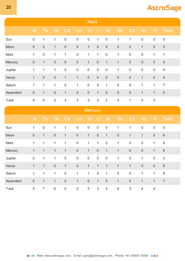|                                   |                  |                  |                  |              |                | <b>Mars</b>      |                  |                  |                |                  |                  |              |                |  |  |  |
|-----------------------------------|------------------|------------------|------------------|--------------|----------------|------------------|------------------|------------------|----------------|------------------|------------------|--------------|----------------|--|--|--|
|                                   | Ar               | Ta               | Gi               | Ca           | Le             | Vi               | -Li              | <b>Sc</b>        | Sa             | Ca               | Aq               | Pi           | <u>Total</u>   |  |  |  |
| Sun                               | $\boldsymbol{0}$ | 1                | 1                | $\mathbf 0$  | $\mathbf 0$    | $\mathbf 0$      | $\mathbf 1$      | $\boldsymbol{0}$ | $\mathbf{1}$   | 1                | $\mathbf 0$      | $\mathbf 0$  | $\sqrt{5}$     |  |  |  |
| Moon                              | $\boldsymbol{0}$ | $\boldsymbol{0}$ | $\mathbf{1}$     | $\mathbf 0$  | $\,0\,$        | $\mathbf{1}$     | $\mathbf 0$      | $\boldsymbol{0}$ | $\mathbf 0$    | $\boldsymbol{0}$ | $\mathbf{1}$     | $\mathbf 0$  | $\mathfrak{Z}$ |  |  |  |
| Mars                              | 1                | $\boldsymbol{0}$ | 1                | $\mathbf 1$  | $\mathbf 0$    | $\mathbf{1}$     | 1                | $\mathbf 0$      | 1              | $\mathbf 0$      | $\boldsymbol{0}$ | $\mathbf 1$  | $\overline{7}$ |  |  |  |
| Mercury                           | $\boldsymbol{0}$ | $\mathbf{1}$     | $\boldsymbol{0}$ | $\mathbf 0$  | $\mathbf 0$    | $\mathbf{1}$     | $\mathbf 0$      | $\mathbf{1}$     | $\mathbf{1}$   | $\mathbf 0$      | $\mathbf 0$      | $\mathbf 0$  | $\overline{4}$ |  |  |  |
| Jupiter                           | 1                | 1                | 1                | $\mathbf 0$  | $\mathbf 0$    | $\boldsymbol{0}$ | $\mathbf 0$      | $\mathbf 0$      | 1              | $\boldsymbol{0}$ | $\mathbf 0$      | $\mathbf 0$  | $\overline{4}$ |  |  |  |
| Venus                             | $\mathbf{1}$     | $\boldsymbol{0}$ | $\boldsymbol{0}$ | $\mathbf 1$  | $\mathbf 1$    | $\mathbf 0$      | $\theta$         | $\mathbf 0$      | $\mathbf 0$    | $\mathbf 0$      | $\mathbf{1}$     | $\mathbf 0$  | $\overline{4}$ |  |  |  |
| Saturn                            | 1                | $\mathbf{1}$     | 1                | $\mathbf 0$  | $\mathbf{1}$   | $\mathbf 0$      | $\boldsymbol{0}$ | $\mathbf{1}$     | $\overline{0}$ | $\mathbf 0$      | $\mathbf{1}$     | $\mathbf{1}$ | $\overline{7}$ |  |  |  |
| Ascendant                         | $\boldsymbol{0}$ | $\mathbf{1}$     | $\mathbf 0$      | $\mathbf{1}$ | $\mathbf 0$    | $\mathbf 0$      | $\mathbf{1}$     | $\mathbf 0$      | $\mathbf 0$    | $\mathbf 0$      | $\mathbf{1}$     | $\mathbf{1}$ | $\overline{5}$ |  |  |  |
| Total<br><b>Contract Contract</b> | $\overline{4}$   | 5                | $\mathbf 5$      | $\sqrt{3}$   | $\overline{2}$ | $\sqrt{3}$       | 3                | $\overline{2}$   | $\overline{4}$ | 1                | $\overline{4}$   | $\sqrt{3}$   |                |  |  |  |

|           | Mercury          |                  |                  |              |                |                  |                  |                |              |                  |                  |                  |                |  |
|-----------|------------------|------------------|------------------|--------------|----------------|------------------|------------------|----------------|--------------|------------------|------------------|------------------|----------------|--|
|           | Ar               | Ta               | Gi               | Ca           | Le             | Vi               | Li.              | Sc             | Sa           | Ca               | Aq               | Pi               | Total          |  |
| Sun       | $\mathbf{1}$     | $\boldsymbol{0}$ | $\mathbf{1}$     | $\mathbf{1}$ | $\mathbf 0$    | $\boldsymbol{0}$ | $\mathbf 0$      | $\mathbf 0$    | 1            | $\mathbf{1}$     | $\boldsymbol{0}$ | $\boldsymbol{0}$ | $\sqrt{5}$     |  |
| Moon      | $\boldsymbol{0}$ | $\mathbf{1}$     | $\boldsymbol{0}$ | $\mathbf{1}$ | $\mathbf 0$    | $\mathbf{1}$     | $\mathbf 0$      | $\mathbf{1}$   | $\mathbf 0$  | $\mathbf{1}$     | $\mathbf{1}$     | $\mathbf 0$      | $\,6\,$        |  |
| Mars      | 1                | $\mathbf 1$      | $\mathbf{1}$     | $\mathbf{1}$ | $\mathbf 0$    | 1                | $\mathbf{1}$     | $\mathbf 0$    | 1            | $\boldsymbol{0}$ | $\boldsymbol{0}$ | 1                | $\,8\,$        |  |
| Mercury   | $\mathbf{1}$     | 1                | $\mathbf{1}$     | $\mathbf{1}$ | $\mathbf 0$    | $\mathbf{1}$     | $\boldsymbol{0}$ | $\mathbf{1}$   | $\mathbf{1}$ | $\mathbf 0$      | $\mathbf 0$      | $\mathbf{1}$     | 8              |  |
| Jupiter   | $\boldsymbol{0}$ | 1                | $\mathbf{1}$     | $\mathbf 0$  | $\mathbf 0$    | $\boldsymbol{0}$ | $\mathbf 0$      | $\mathbf 0$    | 1            | $\boldsymbol{0}$ | 1                | $\mathbf 0$      | $\overline{4}$ |  |
| Venus     | $\mathbf{1}$     | $\mathbf{1}$     | $\mathbf 0$      | $\mathbf{1}$ | $\mathbf 0$    | $\mathbf{1}$     | $\mathbf{1}$     | $\mathbf{1}$   | $\mathbf{1}$ | $\mathbf{1}$     | $\mathbf 0$      | $\mathbf 0$      | 8              |  |
| Saturn    | 1                | $\mathbf{1}$     | $\mathbf{1}$     | $\mathbf 0$  | $\mathbf{1}$   | $\mathbf 1$      | $\mathbf 0$      | $\mathbf{1}$   | $\mathbf 0$  | $\boldsymbol{0}$ | 1                | 1                | $\,8\,$        |  |
| Ascendant | $\boldsymbol{0}$ | $\mathbf{1}$     | $\mathbf{1}$     | $\mathbf 0$  | $\mathbf{1}$   | $\mathbf 0$      | $\mathbf{1}$     | $\mathbf 0$    | $\mathbf{1}$ | $\mathbf 0$      | $\mathbf{1}$     | $\mathbf{1}$     | $\overline{7}$ |  |
| Total     | 5                | $\overline{7}$   | $\,6\,$          | $\sqrt{5}$   | $\overline{2}$ | 5                | $\sqrt{3}$       | $\overline{4}$ | $6\,$        | $\sqrt{3}$       | $\overline{4}$   | $\overline{4}$   |                |  |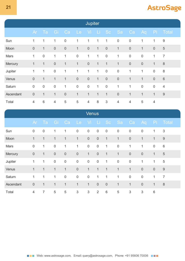| <b>Jupiter</b> |                  |                  |                  |              |                  |                  |              |                  |                  |                |              |                |                  |
|----------------|------------------|------------------|------------------|--------------|------------------|------------------|--------------|------------------|------------------|----------------|--------------|----------------|------------------|
|                | Ar               | Ta               | Gi               | Ca           | Le               | - Vi             | - Li         | Sc               | <b>ASa</b>       | Ca             | Aq           | Pi             | ∣ Total,         |
| Sun            | 1                | 1                | 1                | $\mathbf 0$  | 1                | 1                | 1            | 1                | $\boldsymbol{0}$ | $\mathbf 0$    | 1            | 1              | $\boldsymbol{9}$ |
| Moon           | $\boldsymbol{0}$ | $\mathbf{1}$     | $\boldsymbol{0}$ | $\mathbf 0$  | $\mathbf{1}$     | $\boldsymbol{0}$ | $\mathbf{1}$ | $\mathbf 0$      | $\mathbf{1}$     | $\mathbf 0$    | $\mathbf{1}$ | $\mathbf 0$    | $\sqrt{5}$       |
| Mars           | $\mathbf 1$      | $\boldsymbol{0}$ | $\mathbf{1}$     | $\mathbf{1}$ | $\boldsymbol{0}$ | $\mathbf{1}$     | $\mathbf{1}$ | $\mathbf 0$      | 1                | $\mathbf 0$    | $\mathbf 0$  | 1              | $\overline{7}$   |
| Mercury        | $\mathbf{1}$     | $\mathbf{1}$     | $\boldsymbol{0}$ | $\mathbf{1}$ | $\mathbf{1}$     | $\mathbf 0$      | $\mathbf{1}$ | $\mathbf{1}$     | $\mathbf{1}$     | $\mathbf 0$    | $\mathbf 0$  | $\mathbf{1}$   | 8                |
| Jupiter        | $\mathbf 1$      | $\mathbf{1}$     | $\boldsymbol{0}$ | $\mathbf{1}$ | $\mathbf{1}$     | $\mathbf{1}$     | $\mathbf{1}$ | $\mathbf 0$      | $\mathbf 0$      | 1              | $\mathbf{1}$ | $\mathbf 0$    | 8                |
| Venus          | $\boldsymbol{0}$ | $\mathbf{1}$     | $\mathbf{1}$     | $\mathbf{1}$ | $\boldsymbol{0}$ | $\mathbf 0$      | $\mathbf{1}$ | $\mathbf 0$      | $\mathbf 0$      | $\mathbf{1}$   | $\mathbf{1}$ | $\mathbf 0$    | $6\,$            |
| Saturn         | $\boldsymbol{0}$ | $\boldsymbol{0}$ | $\mathbf 0$      | $\mathbf{1}$ | $\boldsymbol{0}$ | $\boldsymbol{0}$ | $\mathbf{1}$ | $\boldsymbol{0}$ | $\mathbf{1}$     | $\mathbf{1}$   | $\mathbf 0$  | $\mathbf 0$    | $\overline{4}$   |
| Ascendant      | $\boldsymbol{0}$ | $\mathbf{1}$     | $\mathbf{1}$     | $\mathbf 0$  | $\mathbf{1}$     | $\mathbf{1}$     | $\mathbf{1}$ | $\mathbf{1}$     | $\theta$         | $\mathbf{1}$   | $\mathbf{1}$ | $\mathbf{1}$   | 9                |
| Total          | $\overline{4}$   | $\,6\,$          | $\overline{4}$   | $\sqrt{5}$   | $\sqrt{5}$       | $\overline{4}$   | $\,8\,$      | $\sqrt{3}$       | $\overline{4}$   | $\overline{4}$ | $\mathbf 5$  | $\overline{4}$ |                  |

|           | <b>Venus</b>     |                  |                  |                  |                |                |                  |                  |                  |                  |                  |                 |                  |
|-----------|------------------|------------------|------------------|------------------|----------------|----------------|------------------|------------------|------------------|------------------|------------------|-----------------|------------------|
|           | Ar               | Ta               | <b>Gi</b>        | Ca               | Le             | Vi.            | Li Sc            |                  | Sa               | Ca               | Aq               | Pi              | Total            |
| Sun       | $\boldsymbol{0}$ | $\boldsymbol{0}$ | 1                | 1                | $\mathbf 0$    | $\mathbf 0$    | $\boldsymbol{0}$ | $\boldsymbol{0}$ | $\boldsymbol{0}$ | $\mathbf 0$      | $\boldsymbol{0}$ | 1               | $\mathfrak{S}$   |
| Moon      | $\mathbf{1}$     | $\mathbf 1$      | $\mathbf{1}$     | $\mathbf{1}$     | $\mathbf{1}$   | $\mathbf 0$    | $\boldsymbol{0}$ | $\mathbf{1}$     | $\mathbf{1}$     | $\mathbf 0$      | $\mathbf{1}$     | $\mathbf 1$     | $9$              |
| Mars      | $\boldsymbol{0}$ | $\mathbf{1}$     | $\boldsymbol{0}$ | $\mathbf{1}$     | $\mathbf{1}$   | $\mathbf 0$    | $\boldsymbol{0}$ | $\mathbf{1}$     | $\boldsymbol{0}$ | 1                | $\mathbf{1}$     | $\mathbf 0$     | $\,6\,$          |
| Mercury   | $\boldsymbol{0}$ | $\mathbf{1}$     | $\boldsymbol{0}$ | $\boldsymbol{0}$ | $\mathbf 0$    | $\mathbf{1}$   | $\mathbf 0$      | $\mathbf{1}$     | $\mathbf{1}$     | $\mathbf 0$      | $\mathbf 0$      | $\mathbf{1}$    | $\sqrt{5}$       |
| Jupiter   | 1                | $\mathbf 1$      | $\boldsymbol{0}$ | $\boldsymbol{0}$ | $\mathbf 0$    | $\mathbf 0$    | $\boldsymbol{0}$ | $\mathbf{1}$     | $\boldsymbol{0}$ | $\boldsymbol{0}$ | 1                | 1               | $\sqrt{5}$       |
| Venus     | $\mathbf{1}$     | $\mathbf{1}$     | $\mathbf{1}$     | $\mathbf{1}$     | $\mathbf 0$    | $\mathbf{1}$   | $\mathbf{1}$     | $\mathbf{1}$     | $\mathbf{1}$     | $\mathbf{1}$     | $\mathbf 0$      | $\overline{0}$  | $\boldsymbol{9}$ |
| Saturn    | 1                | $\mathbf{1}$     | 1                | $\boldsymbol{0}$ | $\mathbf 0$    | $\mathbf 0$    | $\mathbf 1$      | $\mathbf 1$      | 1                | $\boldsymbol{0}$ | $\boldsymbol{0}$ | 1               | $\overline{7}$   |
| Ascendant | $\boldsymbol{0}$ | $\mathbf{1}$     | $\mathbf{1}$     | $\mathbf{1}$     | $\mathbf{1}$   | $\mathbf{1}$   | $\mathbf 0$      | $\overline{0}$   | $\mathbf{1}$     | $\mathbf{1}$     | $\mathbf 0$      | $\mathbf{1}$    | $8\,$            |
| Total     | $\overline{4}$   | $\overline{7}$   | 5                | 5                | $\mathfrak{S}$ | $\mathfrak{S}$ | 2                | $6\,$            | 5                | $\mathfrak{S}$   | 3                | $6\phantom{1}6$ |                  |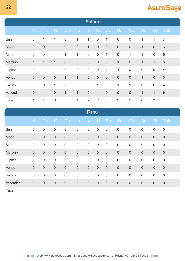| <b>Saturn</b> |                  |                  |                  |                           |                |                  |                  |               |                  |                  |                  |              |                |
|---------------|------------------|------------------|------------------|---------------------------|----------------|------------------|------------------|---------------|------------------|------------------|------------------|--------------|----------------|
|               | Ar               | Ta               | Gi               | Ca                        | Le             | Vi.              | - Li             | Sc            | ⊟Sa              | Ca               | Aq               | Pi           | Total          |
| Sun           | $\boldsymbol{0}$ | 1                | 1                | $\boldsymbol{0}$          | $\mathbf{1}$   | 1                | $\boldsymbol{0}$ | $\mathbf{1}$  | $\boldsymbol{0}$ | $\boldsymbol{0}$ | 1                | 1            | $\overline{7}$ |
| Moon          | $\mathbf 0$      | $\mathbf 0$      | $\mathbf{1}$     | $\boldsymbol{0}$          | $\mathbf 0$    | $\mathbf{1}$     | $\boldsymbol{0}$ | $\mathbf 0$   | $\mathbf 0$      | $\boldsymbol{0}$ | $\mathbf{1}$     | $\sqrt{0}$   | $\mathfrak{S}$ |
| Mars          | $\boldsymbol{0}$ | $\boldsymbol{0}$ | $\mathbf{1}$     | $\mathbf{1}$              | $\mathbf{1}$   | $\boldsymbol{0}$ | $\mathbf 0$      | $\mathbf{1}$  | $\mathbf 0$      | 1                | $\mathbf{1}$     | $\mathbf 0$  | $6\,$          |
| Mercury       | $\mathbf{1}$     | $\mathbf{1}$     | $\mathbf{1}$     | $\mathbf 0$               | $\mathbf 0$    | $\mathbf 0$      | $\mathbf 0$      | $\mathbf 0$   | $\mathbf{1}$     | $\mathbf 0$      | $\mathbf{1}$     | $\mathbf{1}$ | $\,6\,$        |
| Jupiter       | $\boldsymbol{0}$ | $\mathbf{1}$     | $\mathbf{1}$     | $\boldsymbol{0}$          | $\mathbf 0$    | $\boldsymbol{0}$ | $\boldsymbol{0}$ | 1             | 1                | $\boldsymbol{0}$ | $\boldsymbol{0}$ | $\mathbf 0$  | $\overline{4}$ |
| Venus         | $\mathbf 0$      | $\mathbf 0$      | $\boldsymbol{0}$ | $\mathbf{1}$              | $\mathbf{1}$   | $\mathbf 0$      | $\mathbf 0$      | $\mathbf 0$   | $\boldsymbol{0}$ | $\mathbf 0$      | $\mathbf{1}$     | $\sqrt{0}$   | $\mathfrak{S}$ |
| Saturn        | $\boldsymbol{0}$ | $\boldsymbol{0}$ | $\mathbf{1}$     | $\boldsymbol{0}$          | $\mathbf 0$    | $\mathbf 0$      | $\mathbf{1}$     | $\mathbf 0$   | $\mathbf{1}$     | 1                | $\boldsymbol{0}$ | $\mathbf 0$  | $\overline{4}$ |
| Ascendant     | $\boldsymbol{0}$ | $\mathbf 1$      | $\boldsymbol{0}$ | $\mathbf{1}$              | $\mathbf{1}$   | $\mathbf 0$      | $\mathbf 1$      | $\mathbf 0$   | $\mathbf 0$      | $\mathbf 0$      | $\mathbf 1$      | $\mathbf 1$  | $\,6\,$        |
| Total         | 1                | $\overline{4}$   | $6\,$            | $\ensuremath{\mathsf{3}}$ | $\overline{4}$ | $\overline{2}$   | $\overline{2}$   | $\mathfrak 3$ | $\mathfrak{S}$   | $\overline{2}$   | $\,6$            | 3            |                |

|           | Rahu             |                  |                  |                  |                  |                  |                  |                  |                  |                  |                  |                  |                  |
|-----------|------------------|------------------|------------------|------------------|------------------|------------------|------------------|------------------|------------------|------------------|------------------|------------------|------------------|
|           | Ar               | Ta               | Gr               | Ca               | <b>Le</b>        | Vi.              | LI.              | Sc               | <b>Sa</b>        | Ca               | Aq               | Pi               | Total            |
| Sun       | $\boldsymbol{0}$ | $\mathbf 0$      | $\boldsymbol{0}$ | $\mathbf 0$      | $\boldsymbol{0}$ | $\mathbf 0$      | $\mathbf 0$      | $\boldsymbol{0}$ | $\boldsymbol{0}$ | $\boldsymbol{0}$ | $\boldsymbol{0}$ | $\mathbf 0$      | $\overline{0}$   |
| Moon      | $\boldsymbol{0}$ | $\mathbf 0$      | $\boldsymbol{0}$ | $\mathbf 0$      | $\mathbf 0$      | $\boldsymbol{0}$ | $\boldsymbol{0}$ | $\boldsymbol{0}$ | $\boldsymbol{0}$ | $\boldsymbol{0}$ | $\mathbf 0$      | $\boldsymbol{0}$ | $\bf 0$          |
| Mars      | $\boldsymbol{0}$ | $\boldsymbol{0}$ | $\boldsymbol{0}$ | $\boldsymbol{0}$ | $\boldsymbol{0}$ | $\boldsymbol{0}$ | $\boldsymbol{0}$ | $\boldsymbol{0}$ | $\boldsymbol{0}$ | $\boldsymbol{0}$ | $\boldsymbol{0}$ | $\mathbf 0$      | $\boldsymbol{0}$ |
| Mercury   | $\boldsymbol{0}$ | $\mathbf 0$      | $\boldsymbol{0}$ | $\mathbf 0$      | $\mathbf 0$      | $\mathbf 0$      | $\boldsymbol{0}$ | $\boldsymbol{0}$ | $\boldsymbol{0}$ | $\boldsymbol{0}$ | $\mathbf 0$      | $\theta$         | $\boldsymbol{0}$ |
| Jupiter   | $\boldsymbol{0}$ | $\boldsymbol{0}$ | $\mathbf 0$      | $\boldsymbol{0}$ | $\mathbf 0$      | $\boldsymbol{0}$ | $\mathbf 0$      | $\boldsymbol{0}$ | $\boldsymbol{0}$ | $\boldsymbol{0}$ | $\boldsymbol{0}$ | $\mathbf 0$      | $\mathbf 0$      |
| Venus     | $\boldsymbol{0}$ | $\mathbf 0$      | $\boldsymbol{0}$ | $\boldsymbol{0}$ | $\mathbf 0$      | $\mathbf 0$      | $\boldsymbol{0}$ | $\boldsymbol{0}$ | $\boldsymbol{0}$ | $\boldsymbol{0}$ | $\boldsymbol{0}$ | $\theta$         | $\theta$         |
| Saturn    | $\boldsymbol{0}$ | $\boldsymbol{0}$ | $\boldsymbol{0}$ | $\boldsymbol{0}$ | $\boldsymbol{0}$ | $\boldsymbol{0}$ | $\mathbf 0$      | $\boldsymbol{0}$ | $\mathbf 0$      | $\boldsymbol{0}$ | $\mathbf 0$      | $\mathbf 0$      | $\mathbf 0$      |
| Ascendant | $\boldsymbol{0}$ | $\theta$         | $\boldsymbol{0}$ | $\theta$         | $\boldsymbol{0}$ | $\mathbf 0$      | $\theta$         | $\theta$         | $\boldsymbol{0}$ | $\theta$         | $\boldsymbol{0}$ | $\theta$         | $\theta$         |

Total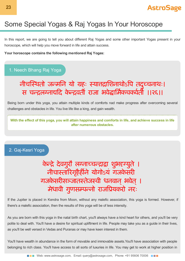# Some Special Yogas & Raj Yogas In Your Horoscope

In this report, we are going to tell you about different Raj Yogas and some other important Yogas present in your horoscope, which will help you move forward in life and attain success.

**Your horoscope contains the following mentioned Raj Yogas:**

### 1. Neech Bhang Raj Yoga

# नीचथतो जमिन यो हः याािशनाथोऽप तद ु चनाथः। स चन्द्रलग्नाद्यदि केन्द्रवर्ती राजा भवेद्धार्मिकचकर्वर्ती ।।२६।।

Being born under this yoga, you attain multiple kinds of comforts nad make progress after overcoming several challenges and obstacles in life. You live life like a king, and gain wealth.

With the effect of this yoga, you will attain happiness and comforts in life, and achieve success in life **after numerous obstacles.**

### 2. Gaj-Kesri Yoga

# केन्द्रे देवगुरौ लग्नाच्चन्द्राद्वा शुभद्दग्युते । ्<br>नीचास्तारिगृहैर्हीने योगोऽयं गजकेसरी गजकेसरीसञ्जातस्तेजस्वी धनवान् भवेत् । मेधावी गुणसम्पन्नो राजप्रियकरो नरः

If the Jupiter is placed in Kendra from Moon, without any malefic association, this yoga is formed. However, if there's a malefic association, then the results of this yoga will be of less intensity.

As you are born with this yoga in the natal birth chart, you'll always have a kind heart for others, and you'll be very polite to deal with. You'll have a desire for spiritual upliftment in life. People may take you as a guide in their lives, as you'll be well versed in Vedas and Puranas or may have keen interest in them.

You'll have wealth in abundance in the form of movable and immovable assets.You'll have association with people belonging to rich class. You'll have access to all sorts of luxuries in life. You may get to work at higher position in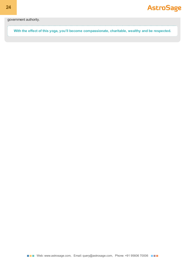government authority.

**With the effect of this yoga, you'll become compassionate, charitable, wealthy and be respected.**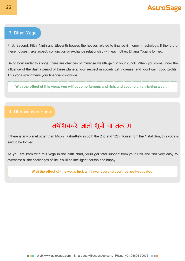### 3. Dhan Yoga

First, Second, Fifth, Ninth and Eleventh houses the houses related to finance & money in astrology. If the lord of these houses make aspect, conjunction or exchange relationship with each other, Dhana Yoga is formed.

Being born under this yoga, there are chances of immense wealth gain in your kundli. When you come under the influence of the dasha period of these planets, your respect in society will increase, and you'll gain good profits. This yoga strengthens your financial conditions.

**With the effect of this yoga, you will become famous and rich, and acquire an enriching wealth.**

### 4. Ubhayachari Yoga

# तथोभयचरे जातो भूपो वा तत्समः

If there is any planet other than Moon, Rahu-Ketu in both the 2nd and 12th House from the Natal Sun, this yoga is said to be formed.

As you are born with this yoga in the birth chart, you'll get total support from your luck and find very easy to overcome all the challenges of life. You'll be intelligent person and happy.

**With the effect of this yoga, luck will favor you and you'll be well-educated.**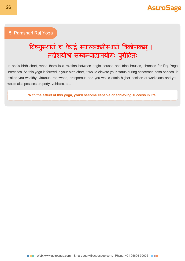### 5. Parashari Raj Yoga

# विष्णुस्थानं च केन्द्रं स्याल्लक्ष्मीस्थानं त्रिकोणकम् । तदीशयोश्व सम्बन्धाद्राजयोगः पुरोदितः

In one's birth chart, when there is a relation between angle houses and trine houses, chances for Raj Yoga increases. As this yoga is formed in your birth chart, it would elevate your status during concerned dasa periods. It makes you wealthy, virtuous, renowned, prosperous and you would attain higher position at workplace and you would also possess property, vehicles, etc.

**With the effect of this yoga, you'll become capable of achieving success in life.**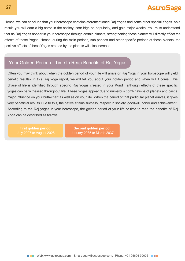Hence, we can conclude that your horoscope contains aforementioned Raj Yogas and some other special Yogas. As a result, you will earn a big name in the society, soar high on popularity, and gain major wealth. You must understand that as Raj Yogas appear in your horoscope through certain planets, strengthening these planets will directly affect the effects of these Yogas. Hence, during the main periods, sub-periods and other specific periods of these planets, the positive effects of these Yogas created by the planets will also increase.

### Your Golden Period or Time to Reap Benefits of Raj Yogas

Often you may think about when the golden period of your life will arrive or Raj Yoga in your horoscope will yield benefic results? in this Raj Yoga report, we will tell you about your golden period and when will it come. This phase of life is identified through specific Raj Yogas created in your Kundli, although effects of these specific yogas can be witnessed throughout life. These Yogas appear due to numerous combinations of planets and cast a major influence on your birth-chart as well as on your life. When the period of that particular planet arrives, it gives very beneficial results.Due to this, the native attains success, respect in society, goodwill, honor and achievement. According to the Raj yogas in your horoscope, the golden period of your life or time to reap the benefits of Raj Yoga can be described as follows:

**First golden period:** July 2027 to August 2028

**Second golden period:** January 2035 to March 2037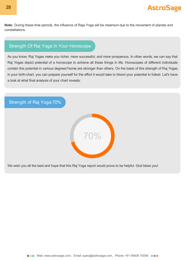**Note:** During these time periods, the influence of Raja Yoga will be maximum due to the movement of planets and constellations.

### Strength Of Raj Yoga In Your Horoscope

As you know, Raj Yogas make you richer, more successful, and more prosperous. In other words, we can say that Raj Yogas depict potential of a horoscope to achieve all these things in life. Horoscopes of different individuals contain this potential in various degrees?some are stronger than others. On the basis of this strength of Raj Yogas in your birth-chart, you can prepare yourself for the effort it would take to bloom your potential to fullest. Let's have a look at what final analysis of your chart reveals:

Strength of Raj Yoga:70%



We wish you all the best and hope that this Raj Yoga report would prove to be helpful. God bless you!